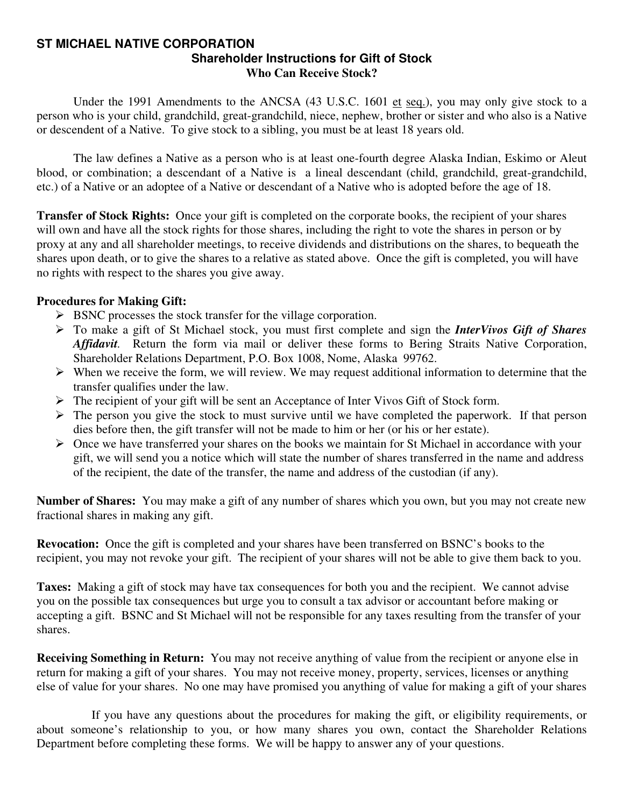#### **ST MICHAEL NATIVE CORPORATION Shareholder Instructions for Gift of Stock Who Can Receive Stock?**

Under the 1991 Amendments to the ANCSA (43 U.S.C. 1601 et seq.), you may only give stock to a person who is your child, grandchild, great-grandchild, niece, nephew, brother or sister and who also is a Native or descendent of a Native. To give stock to a sibling, you must be at least 18 years old.

 The law defines a Native as a person who is at least one-fourth degree Alaska Indian, Eskimo or Aleut blood, or combination; a descendant of a Native is a lineal descendant (child, grandchild, great-grandchild, etc.) of a Native or an adoptee of a Native or descendant of a Native who is adopted before the age of 18.

**Transfer of Stock Rights:** Once your gift is completed on the corporate books, the recipient of your shares will own and have all the stock rights for those shares, including the right to vote the shares in person or by proxy at any and all shareholder meetings, to receive dividends and distributions on the shares, to bequeath the shares upon death, or to give the shares to a relative as stated above. Once the gift is completed, you will have no rights with respect to the shares you give away.

### **Procedures for Making Gift:**

- $\triangleright$  BSNC processes the stock transfer for the village corporation.
- ¾ To make a gift of St Michael stock, you must first complete and sign the *InterVivos Gift of Shares Affidavit.* Return the form via mail or deliver these forms to Bering Straits Native Corporation, Shareholder Relations Department, P.O. Box 1008, Nome, Alaska 99762.
- $\triangleright$  When we receive the form, we will review. We may request additional information to determine that the transfer qualifies under the law.
- ¾ The recipient of your gift will be sent an Acceptance of Inter Vivos Gift of Stock form.
- $\triangleright$  The person you give the stock to must survive until we have completed the paperwork. If that person dies before then, the gift transfer will not be made to him or her (or his or her estate).
- ¾ Once we have transferred your shares on the books we maintain for St Michael in accordance with your gift, we will send you a notice which will state the number of shares transferred in the name and address of the recipient, the date of the transfer, the name and address of the custodian (if any).

**Number of Shares:** You may make a gift of any number of shares which you own, but you may not create new fractional shares in making any gift.

**Revocation:** Once the gift is completed and your shares have been transferred on BSNC's books to the recipient, you may not revoke your gift. The recipient of your shares will not be able to give them back to you.

**Taxes:** Making a gift of stock may have tax consequences for both you and the recipient. We cannot advise you on the possible tax consequences but urge you to consult a tax advisor or accountant before making or accepting a gift. BSNC and St Michael will not be responsible for any taxes resulting from the transfer of your shares.

**Receiving Something in Return:** You may not receive anything of value from the recipient or anyone else in return for making a gift of your shares. You may not receive money, property, services, licenses or anything else of value for your shares. No one may have promised you anything of value for making a gift of your shares

 If you have any questions about the procedures for making the gift, or eligibility requirements, or about someone's relationship to you, or how many shares you own, contact the Shareholder Relations Department before completing these forms. We will be happy to answer any of your questions.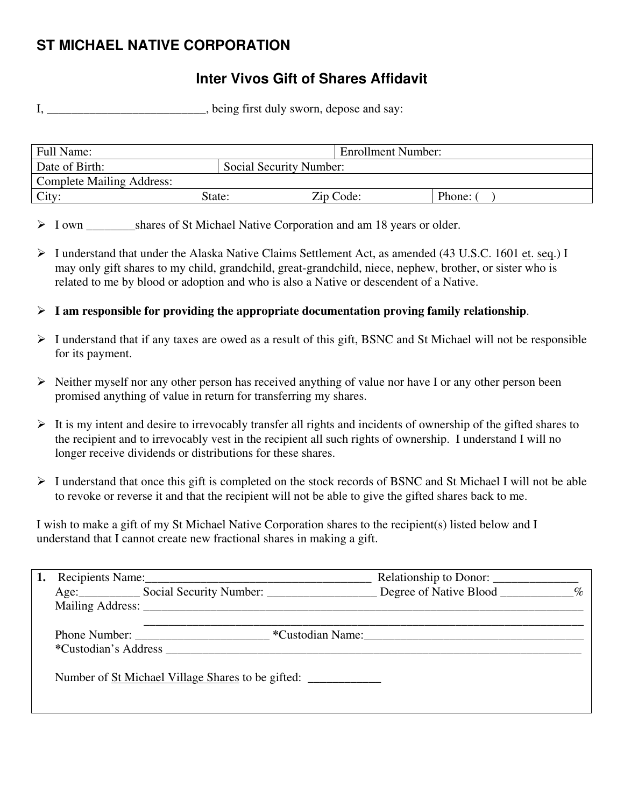# **ST MICHAEL NATIVE CORPORATION**

## **Inter Vivos Gift of Shares Affidavit**

I, \_\_\_\_\_\_\_\_\_\_\_\_\_\_\_\_\_\_\_\_\_\_, being first duly sworn, depose and say:

| Full Name:                       |                         | <b>Enrollment Number:</b> |        |
|----------------------------------|-------------------------|---------------------------|--------|
| Date of Birth:                   | Social Security Number: |                           |        |
| <b>Complete Mailing Address:</b> |                         |                           |        |
| City:                            | State:                  | Zip Code:                 | Phone: |

> I own shares of St Michael Native Corporation and am 18 years or older.

- ¾ I understand that under the Alaska Native Claims Settlement Act, as amended (43 U.S.C. 1601 et. seq.) I may only gift shares to my child, grandchild, great-grandchild, niece, nephew, brother, or sister who is related to me by blood or adoption and who is also a Native or descendent of a Native.
- ¾ **I am responsible for providing the appropriate documentation proving family relationship**.
- $\triangleright$  I understand that if any taxes are owed as a result of this gift, BSNC and St Michael will not be responsible for its payment.
- $\triangleright$  Neither myself nor any other person has received anything of value nor have I or any other person been promised anything of value in return for transferring my shares.
- $\triangleright$  It is my intent and desire to irrevocably transfer all rights and incidents of ownership of the gifted shares to the recipient and to irrevocably vest in the recipient all such rights of ownership. I understand I will no longer receive dividends or distributions for these shares.
- ¾ I understand that once this gift is completed on the stock records of BSNC and St Michael I will not be able to revoke or reverse it and that the recipient will not be able to give the gifted shares back to me.

I wish to make a gift of my St Michael Native Corporation shares to the recipient(s) listed below and I understand that I cannot create new fractional shares in making a gift.

|  |                                                          | Relationship to Donor: |  |
|--|----------------------------------------------------------|------------------------|--|
|  | Age: Social Security Number: Degree of Native Blood %    |                        |  |
|  |                                                          |                        |  |
|  | *Custodian's Address <b>Example 20</b>                   | *Custodian Name:       |  |
|  | Number of <u>St Michael Village Shares</u> to be gifted: |                        |  |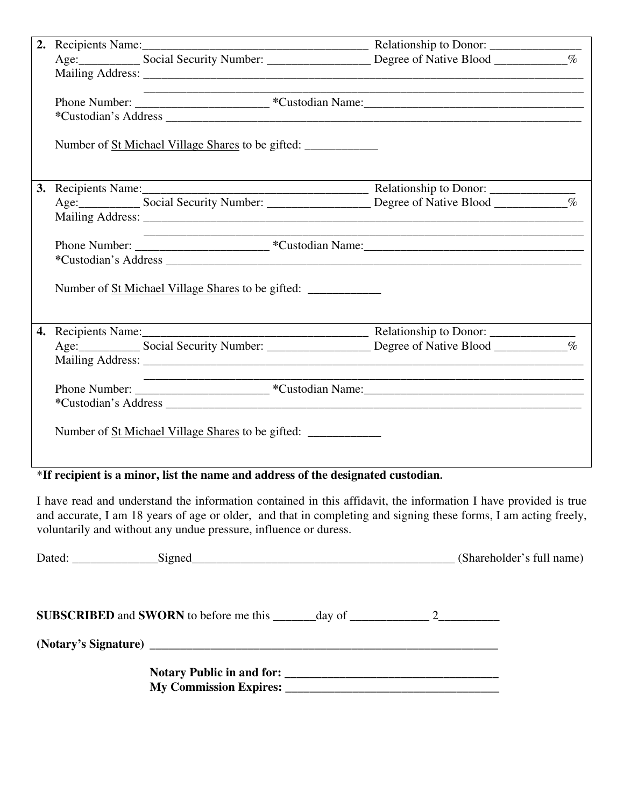|  |                                                          | Age: Social Security Number: ________________ Degree of Native Blood ___________% |  |
|--|----------------------------------------------------------|-----------------------------------------------------------------------------------|--|
|  |                                                          |                                                                                   |  |
|  |                                                          |                                                                                   |  |
|  |                                                          |                                                                                   |  |
|  |                                                          |                                                                                   |  |
|  | Number of <u>St Michael Village Shares</u> to be gifted: |                                                                                   |  |
|  |                                                          |                                                                                   |  |
|  |                                                          |                                                                                   |  |
|  |                                                          |                                                                                   |  |
|  |                                                          |                                                                                   |  |
|  |                                                          |                                                                                   |  |
|  |                                                          |                                                                                   |  |
|  | Number of <u>St Michael Village Shares</u> to be gifted: |                                                                                   |  |
|  |                                                          |                                                                                   |  |
|  |                                                          |                                                                                   |  |
|  |                                                          |                                                                                   |  |
|  |                                                          |                                                                                   |  |
|  |                                                          |                                                                                   |  |
|  |                                                          |                                                                                   |  |
|  | Number of <u>St Michael Village Shares</u> to be gifted: |                                                                                   |  |

### \***If recipient is a minor, list the name and address of the designated custodian.**

I have read and understand the information contained in this affidavit, the information I have provided is true and accurate, I am 18 years of age or older, and that in completing and signing these forms, I am acting freely, voluntarily and without any undue pressure, influence or duress.

| Dated: Signed Signed Signed Signed Signed States and the Signed States of the Signed States and States and States and States and States and States and States and States and States and States and States and States and State |  | (Shareholder's full name) |
|--------------------------------------------------------------------------------------------------------------------------------------------------------------------------------------------------------------------------------|--|---------------------------|
|                                                                                                                                                                                                                                |  |                           |
|                                                                                                                                                                                                                                |  |                           |
|                                                                                                                                                                                                                                |  |                           |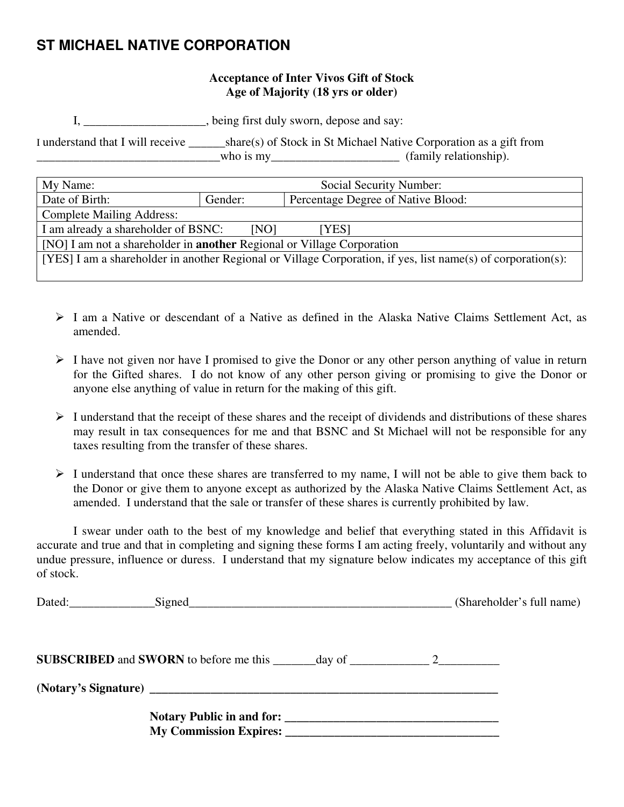## **ST MICHAEL NATIVE CORPORATION**

### **Acceptance of Inter Vivos Gift of Stock Age of Majority (18 yrs or older)**

I, \_\_\_\_\_\_\_\_\_\_\_\_\_\_\_\_\_\_\_\_, being first duly sworn, depose and say:

I understand that I will receive \_\_\_\_\_\_share(s) of Stock in St Michael Native Corporation as a gift from \_\_\_\_\_\_\_\_\_\_\_\_\_\_\_\_\_\_\_\_\_\_\_\_\_\_\_\_\_\_who is my\_\_\_\_\_\_\_\_\_\_\_\_\_\_\_\_\_\_\_\_\_ (family relationship).

| My Name:                                                                                                     | Social Security Number:                       |  |  |
|--------------------------------------------------------------------------------------------------------------|-----------------------------------------------|--|--|
| Date of Birth:                                                                                               | Percentage Degree of Native Blood:<br>Gender: |  |  |
| <b>Complete Mailing Address:</b>                                                                             |                                               |  |  |
| I am already a shareholder of BSNC:<br>[NO]<br>[YES]                                                         |                                               |  |  |
| [NO] I am not a shareholder in <b>another</b> Regional or Village Corporation                                |                                               |  |  |
| [YES] I am a shareholder in another Regional or Village Corporation, if yes, list name(s) of corporation(s): |                                               |  |  |
|                                                                                                              |                                               |  |  |

- $\geq 1$  am a Native or descendant of a Native as defined in the Alaska Native Claims Settlement Act, as amended.
- $\triangleright$  I have not given nor have I promised to give the Donor or any other person anything of value in return for the Gifted shares. I do not know of any other person giving or promising to give the Donor or anyone else anything of value in return for the making of this gift.
- $\triangleright$  I understand that the receipt of these shares and the receipt of dividends and distributions of these shares may result in tax consequences for me and that BSNC and St Michael will not be responsible for any taxes resulting from the transfer of these shares.
- $\triangleright$  I understand that once these shares are transferred to my name, I will not be able to give them back to the Donor or give them to anyone except as authorized by the Alaska Native Claims Settlement Act, as amended. I understand that the sale or transfer of these shares is currently prohibited by law.

 I swear under oath to the best of my knowledge and belief that everything stated in this Affidavit is accurate and true and that in completing and signing these forms I am acting freely, voluntarily and without any undue pressure, influence or duress. I understand that my signature below indicates my acceptance of this gift of stock.

|  | (Shareholder's full name) |
|--|---------------------------|
|  |                           |
|  |                           |
|  |                           |